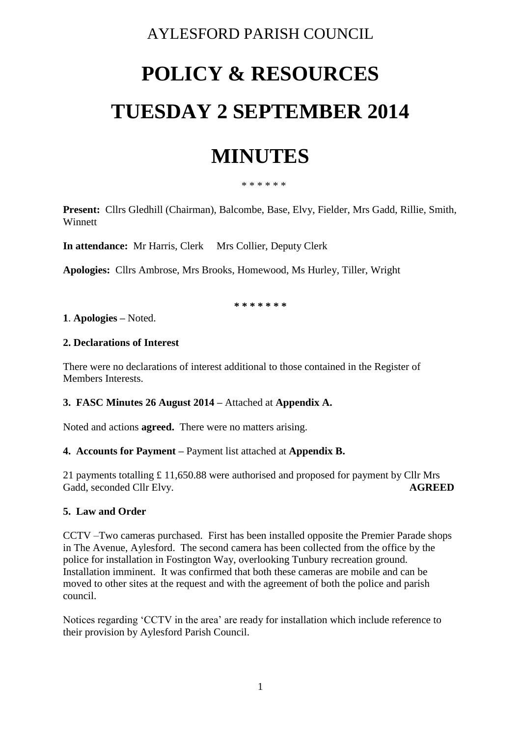### AYLESFORD PARISH COUNCIL

# **POLICY & RESOURCES TUESDAY 2 SEPTEMBER 2014**

## **MINUTES**

\* \* \* \* \* \*

**Present:** Cllrs Gledhill (Chairman), Balcombe, Base, Elvy, Fielder, Mrs Gadd, Rillie, Smith, **Winnett** 

**In attendance:** Mr Harris, Clerk Mrs Collier, Deputy Clerk

**Apologies:** Cllrs Ambrose, Mrs Brooks, Homewood, Ms Hurley, Tiller, Wright

**\* \* \* \* \* \* \***

#### **1**. **Apologies –** Noted.

#### **2. Declarations of Interest**

There were no declarations of interest additional to those contained in the Register of Members Interests.

#### **3. FASC Minutes 26 August 2014 –** Attached at **Appendix A.**

Noted and actions **agreed.** There were no matters arising.

#### **4. Accounts for Payment –** Payment list attached at **Appendix B.**

21 payments totalling £ 11,650.88 were authorised and proposed for payment by Cllr Mrs Gadd, seconded Cllr Elvy. **AGREED** 

#### **5. Law and Order**

CCTV –Two cameras purchased. First has been installed opposite the Premier Parade shops in The Avenue, Aylesford. The second camera has been collected from the office by the police for installation in Fostington Way, overlooking Tunbury recreation ground. Installation imminent. It was confirmed that both these cameras are mobile and can be moved to other sites at the request and with the agreement of both the police and parish council.

Notices regarding 'CCTV in the area' are ready for installation which include reference to their provision by Aylesford Parish Council.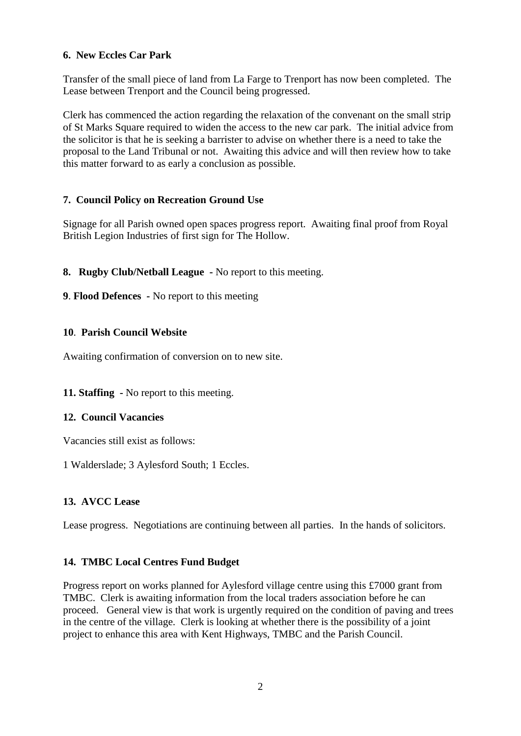#### **6. New Eccles Car Park**

Transfer of the small piece of land from La Farge to Trenport has now been completed. The Lease between Trenport and the Council being progressed.

Clerk has commenced the action regarding the relaxation of the convenant on the small strip of St Marks Square required to widen the access to the new car park. The initial advice from the solicitor is that he is seeking a barrister to advise on whether there is a need to take the proposal to the Land Tribunal or not. Awaiting this advice and will then review how to take this matter forward to as early a conclusion as possible.

#### **7. Council Policy on Recreation Ground Use**

Signage for all Parish owned open spaces progress report. Awaiting final proof from Royal British Legion Industries of first sign for The Hollow.

#### **8. Rugby Club/Netball League -** No report to this meeting.

**9**. **Flood Defences -** No report to this meeting

#### **10**. **Parish Council Website**

Awaiting confirmation of conversion on to new site.

#### **11. Staffing -** No report to this meeting.

#### **12. Council Vacancies**

Vacancies still exist as follows:

1 Walderslade; 3 Aylesford South; 1 Eccles.

#### **13. AVCC Lease**

Lease progress. Negotiations are continuing between all parties. In the hands of solicitors.

#### **14. TMBC Local Centres Fund Budget**

Progress report on works planned for Aylesford village centre using this £7000 grant from TMBC. Clerk is awaiting information from the local traders association before he can proceed. General view is that work is urgently required on the condition of paving and trees in the centre of the village. Clerk is looking at whether there is the possibility of a joint project to enhance this area with Kent Highways, TMBC and the Parish Council.